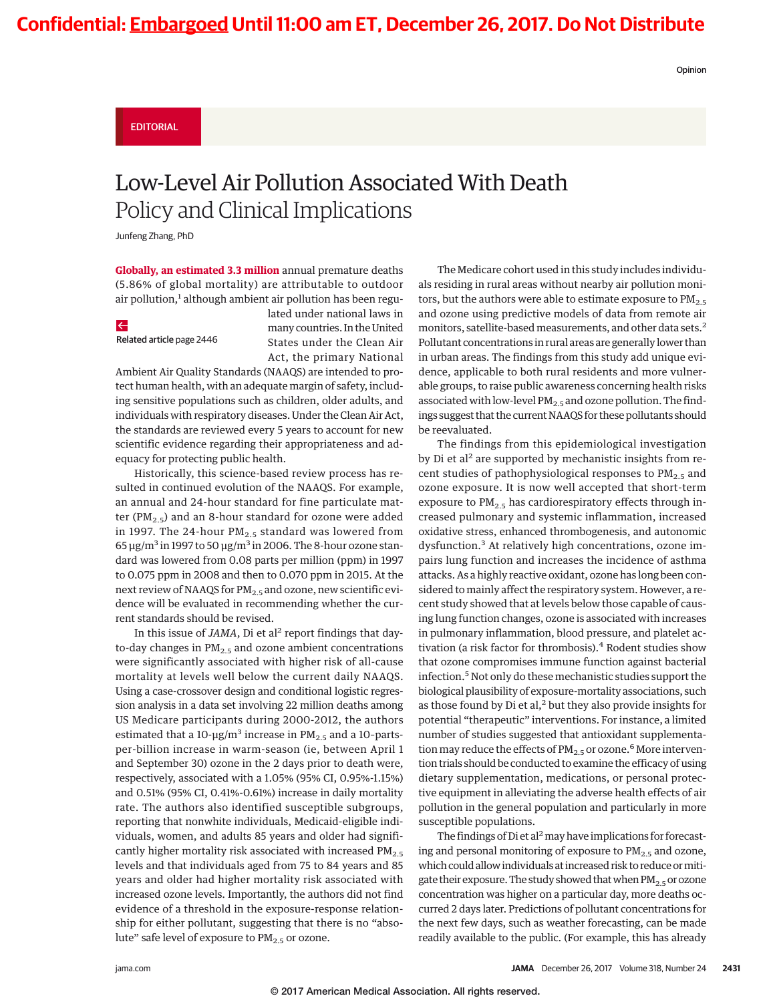Opinion

### EDITORIAL

# Low-Level Air Pollution Associated With Death Policy and Clinical Implications

Junfeng Zhang, PhD

**Globally, an estimated 3.3 million** annual premature deaths (5.86% of global mortality) are attributable to outdoor air pollution,<sup>1</sup> although ambient air pollution has been regu-

### $\leftarrow$

Related article page 2446

lated under national laws in many countries. In the United States under the Clean Air Act, the primary National

Ambient Air Quality Standards (NAAQS) are intended to protect human health, with an adequate margin of safety, including sensitive populations such as children, older adults, and individuals with respiratory diseases. Under the Clean Air Act, the standards are reviewed every 5 years to account for new scientific evidence regarding their appropriateness and adequacy for protecting public health.

Historically, this science-based review process has resulted in continued evolution of the NAAQS. For example, an annual and 24-hour standard for fine particulate matter (PM<sub>2.5</sub>) and an 8-hour standard for ozone were added in 1997. The 24-hour  $PM_{2.5}$  standard was lowered from 65 μg/m<sup>3</sup> in 1997 to 50 μg/m<sup>3</sup> in 2006. The 8-hour ozone standard was lowered from 0.08 parts per million (ppm) in 1997 to 0.075 ppm in 2008 and then to 0.070 ppm in 2015. At the next review of NAAQS for  $PM_{2.5}$  and ozone, new scientific evidence will be evaluated in recommending whether the current standards should be revised.

In this issue of *JAMA*, Di et al<sup>2</sup> report findings that dayto-day changes in  $PM_{2.5}$  and ozone ambient concentrations were significantly associated with higher risk of all-cause mortality at levels well below the current daily NAAQS. Using a case-crossover design and conditional logistic regression analysis in a data set involving 22 million deaths among US Medicare participants during 2000-2012, the authors estimated that a 10- $\mu$ g/m<sup>3</sup> increase in PM<sub>2.5</sub> and a 10-partsper-billion increase in warm-season (ie, between April 1 and September 30) ozone in the 2 days prior to death were, respectively, associated with a 1.05% (95% CI, 0.95%-1.15%) and 0.51% (95% CI, 0.41%-0.61%) increase in daily mortality rate. The authors also identified susceptible subgroups, reporting that nonwhite individuals, Medicaid-eligible individuals, women, and adults 85 years and older had significantly higher mortality risk associated with increased PM<sub>2.5</sub> levels and that individuals aged from 75 to 84 years and 85 years and older had higher mortality risk associated with increased ozone levels. Importantly, the authors did not find evidence of a threshold in the exposure-response relationship for either pollutant, suggesting that there is no "absolute" safe level of exposure to PM<sub>2.5</sub> or ozone.

The Medicare cohort used in this study includes individuals residing in rural areas without nearby air pollution monitors, but the authors were able to estimate exposure to  $PM_{2.5}$ and ozone using predictive models of data from remote air monitors, satellite-based measurements, and other data sets.<sup>2</sup> Pollutant concentrations in rural areas are generally lower than in urban areas. The findings from this study add unique evidence, applicable to both rural residents and more vulnerable groups, to raise public awareness concerning health risks associated with low-level  $PM_{2.5}$  and ozone pollution. The findings suggest that the current NAAQS for these pollutants should be reevaluated.

The findings from this epidemiological investigation by Di et al<sup>2</sup> are supported by mechanistic insights from recent studies of pathophysiological responses to  $PM_{2.5}$  and ozone exposure. It is now well accepted that short-term exposure to  $PM_{2.5}$  has cardiorespiratory effects through increased pulmonary and systemic inflammation, increased oxidative stress, enhanced thrombogenesis, and autonomic dysfunction.<sup>3</sup> At relatively high concentrations, ozone impairs lung function and increases the incidence of asthma attacks. As a highly reactive oxidant, ozone has long been considered to mainly affect the respiratory system. However, a recent study showed that at levels below those capable of causing lung function changes, ozone is associated with increases in pulmonary inflammation, blood pressure, and platelet activation (a risk factor for thrombosis).<sup>4</sup> Rodent studies show that ozone compromises immune function against bacterial infection.<sup>5</sup> Not only do these mechanistic studies support the biological plausibility of exposure-mortality associations, such as those found by Di et al,<sup>2</sup> but they also provide insights for potential "therapeutic" interventions. For instance, a limited number of studies suggested that antioxidant supplementation may reduce the effects of  $PM_{2.5}$  or ozone.<sup>6</sup> More intervention trials should be conducted to examine the efficacy of using dietary supplementation, medications, or personal protective equipment in alleviating the adverse health effects of air pollution in the general population and particularly in more susceptible populations.

The findings of Di et al<sup>2</sup> may have implications for forecasting and personal monitoring of exposure to  $PM<sub>2.5</sub>$  and ozone, which could allow individuals at increased risk to reduce ormitigate their exposure. The study showed that when  $PM_{2.5}$  or ozone concentration was higher on a particular day, more deaths occurred 2 days later. Predictions of pollutant concentrations for the next few days, such as weather forecasting, can be made readily available to the public. (For example, this has already